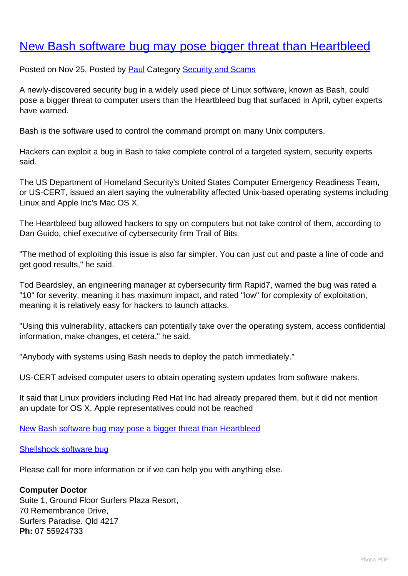## [New Bash software bug may pose bigger threat than Heartbleed](http://www.computerdoctor.com.au/news/new-bash-software-bug-may-pose-bigger-threat-than-heartbleed)

Posted on Nov 25, Posted by [Paul](http://www.computerdoctor.com.au/news/blogger/listings/paul) Category [Security and Scams](http://www.computerdoctor.com.au/news/categories/security-and-scams)

A newly-discovered security bug in a widely used piece of Linux software, known as Bash, could pose a bigger threat to computer users than the Heartbleed bug that surfaced in April, cyber experts have warned.

Bash is the software used to control the command prompt on many Unix computers.

Hackers can exploit a bug in Bash to take complete control of a targeted system, security experts said.

The US Department of Homeland Security's United States Computer Emergency Readiness Team, or US-CERT, issued an alert saying the vulnerability affected Unix-based operating systems including Linux and Apple Inc's Mac OS X.

The Heartbleed bug allowed hackers to spy on computers but not take control of them, according to Dan Guido, chief executive of cybersecurity firm Trail of Bits.

"The method of exploiting this issue is also far simpler. You can just cut and paste a line of code and get good results," he said.

Tod Beardsley, an engineering manager at cybersecurity firm Rapid7, warned the bug was rated a "10" for severity, meaning it has maximum impact, and rated "low" for complexity of exploitation, meaning it is relatively easy for hackers to launch attacks.

"Using this vulnerability, attackers can potentially take over the operating system, access confidential information, make changes, et cetera," he said.

"Anybody with systems using Bash needs to deploy the patch immediately."

US-CERT advised computer users to obtain operating system updates from software makers.

It said that Linux providers including Red Hat Inc had already prepared them, but it did not mention an update for OS X. Apple representatives could not be reached

[New Bash software bug may pose a bigger threat than Heartbleed](http://www.reuters.com/article/2014/09/24/us-cybersecurity-bash-idUSKCN0HJ2FQ20140924)

## [Shellshock software bug](http://en.wikipedia.org/wiki/Shellshock_(software_bug))

Please call for more information or if we can help you with anything else.

## **Computer Doctor**

Suite 1, Ground Floor Surfers Plaza Resort, 70 Remembrance Drive, Surfers Paradise. Qld 4217 **Ph:** 07 55924733